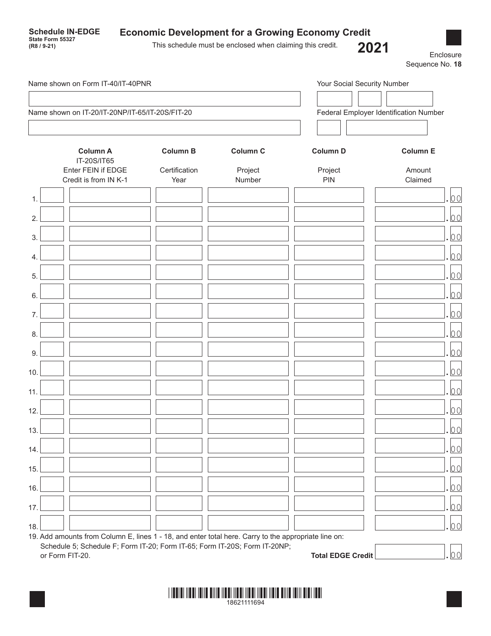| Name shown on Form IT-40/IT-40PNR                    |                                  |                            | Your Social Security Number            |                           |
|------------------------------------------------------|----------------------------------|----------------------------|----------------------------------------|---------------------------|
|                                                      |                                  |                            |                                        |                           |
| Name shown on IT-20/IT-20NP/IT-65/IT-20S/FIT-20      |                                  |                            | Federal Employer Identification Number |                           |
| <b>Column A</b><br>IT-20S/IT65<br>Enter FEIN if EDGE | <b>Column B</b><br>Certification | <b>Column C</b><br>Project | <b>Column D</b><br>Project             | <b>Column E</b><br>Amount |
| Credit is from IN K-1                                | Year                             | Number                     | PIN                                    | Claimed                   |
|                                                      |                                  |                            |                                        | 00                        |
|                                                      |                                  |                            |                                        | 00                        |
|                                                      |                                  |                            |                                        | 00                        |
|                                                      |                                  |                            |                                        | 00                        |
|                                                      |                                  |                            |                                        | 00                        |
|                                                      |                                  |                            |                                        | 00                        |
|                                                      |                                  |                            |                                        | 00                        |
|                                                      |                                  |                            |                                        | 00                        |
|                                                      |                                  |                            |                                        | 00                        |
|                                                      |                                  |                            |                                        | 00                        |
|                                                      |                                  |                            |                                        |                           |
|                                                      |                                  |                            |                                        | 00                        |

or Form FIT-20. **Total EDGE Credit** .00

 $14.$   $\Box$ 

 $15.$   $\Box$ 

16.  $\Box$ 

 $17.$   $\Box$ 

 $18.$   $\Box$ 

19. Add amounts from Column E, lines 1 - 18, and enter total here. Carry to the appropriate line on:

Schedule 5; Schedule F; Form IT-20; Form IT-65; Form IT-20S; Form IT-20NP;

| 18621111694 |  |
|-------------|--|
|-------------|--|